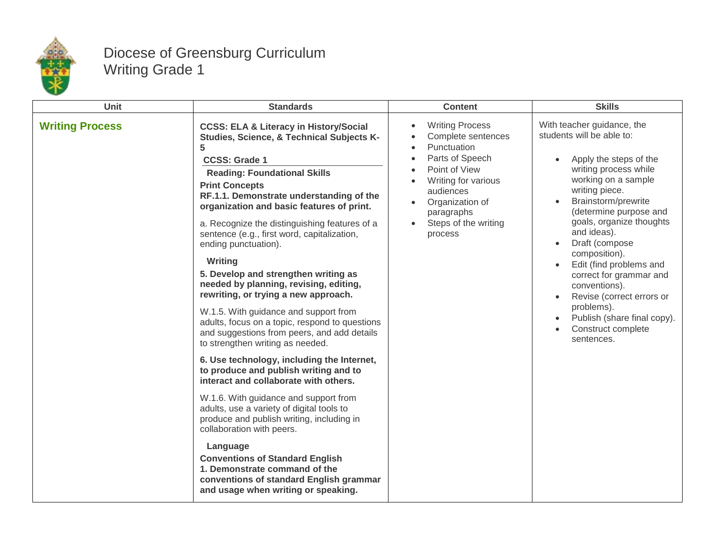

## Diocese of Greensburg Curriculum Writing Grade 1

| Unit                   | <b>Standards</b>                                                                                                                                                                                                                                                                                                                                                                                                                                                                                                                                                                                                                                                                                                                                                                                                                                                                                                                                                                                                                                                                                                                                                                                         | <b>Content</b>                                                                                                                                                                                          | <b>Skills</b>                                                                                                                                                                                                                                                                                                                                                                                                                                                                                                  |
|------------------------|----------------------------------------------------------------------------------------------------------------------------------------------------------------------------------------------------------------------------------------------------------------------------------------------------------------------------------------------------------------------------------------------------------------------------------------------------------------------------------------------------------------------------------------------------------------------------------------------------------------------------------------------------------------------------------------------------------------------------------------------------------------------------------------------------------------------------------------------------------------------------------------------------------------------------------------------------------------------------------------------------------------------------------------------------------------------------------------------------------------------------------------------------------------------------------------------------------|---------------------------------------------------------------------------------------------------------------------------------------------------------------------------------------------------------|----------------------------------------------------------------------------------------------------------------------------------------------------------------------------------------------------------------------------------------------------------------------------------------------------------------------------------------------------------------------------------------------------------------------------------------------------------------------------------------------------------------|
| <b>Writing Process</b> | <b>CCSS: ELA &amp; Literacy in History/Social</b><br>Studies, Science, & Technical Subjects K-<br>5<br><b>CCSS: Grade 1</b><br><b>Reading: Foundational Skills</b><br><b>Print Concepts</b><br>RF.1.1. Demonstrate understanding of the<br>organization and basic features of print.<br>a. Recognize the distinguishing features of a<br>sentence (e.g., first word, capitalization,<br>ending punctuation).<br>Writing<br>5. Develop and strengthen writing as<br>needed by planning, revising, editing,<br>rewriting, or trying a new approach.<br>W.1.5. With guidance and support from<br>adults, focus on a topic, respond to questions<br>and suggestions from peers, and add details<br>to strengthen writing as needed.<br>6. Use technology, including the Internet,<br>to produce and publish writing and to<br>interact and collaborate with others.<br>W.1.6. With guidance and support from<br>adults, use a variety of digital tools to<br>produce and publish writing, including in<br>collaboration with peers.<br>Language<br><b>Conventions of Standard English</b><br>1. Demonstrate command of the<br>conventions of standard English grammar<br>and usage when writing or speaking. | <b>Writing Process</b><br>Complete sentences<br>Punctuation<br>Parts of Speech<br>Point of View<br>Writing for various<br>audiences<br>Organization of<br>paragraphs<br>Steps of the writing<br>process | With teacher guidance, the<br>students will be able to:<br>Apply the steps of the<br>$\bullet$<br>writing process while<br>working on a sample<br>writing piece.<br>Brainstorm/prewrite<br>(determine purpose and<br>goals, organize thoughts<br>and ideas).<br>Draft (compose<br>$\bullet$<br>composition).<br>Edit (find problems and<br>$\bullet$<br>correct for grammar and<br>conventions).<br>Revise (correct errors or<br>problems).<br>Publish (share final copy).<br>Construct complete<br>sentences. |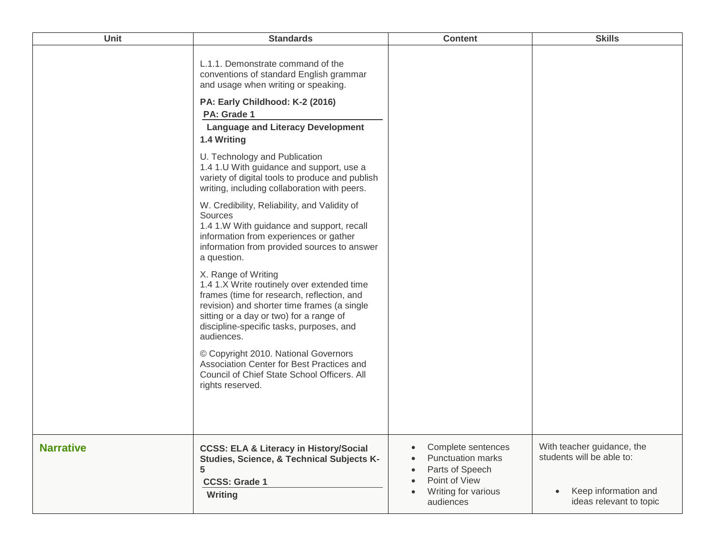| Unit             | <b>Standards</b>                                                                                                                                                                                                                                                    | <b>Content</b>                                                                                                                                                                          | <b>Skills</b>                                                                                                           |
|------------------|---------------------------------------------------------------------------------------------------------------------------------------------------------------------------------------------------------------------------------------------------------------------|-----------------------------------------------------------------------------------------------------------------------------------------------------------------------------------------|-------------------------------------------------------------------------------------------------------------------------|
|                  | L.1.1. Demonstrate command of the<br>conventions of standard English grammar<br>and usage when writing or speaking.<br>PA: Early Childhood: K-2 (2016)<br>PA: Grade 1                                                                                               |                                                                                                                                                                                         |                                                                                                                         |
|                  | <b>Language and Literacy Development</b><br>1.4 Writing                                                                                                                                                                                                             |                                                                                                                                                                                         |                                                                                                                         |
|                  | U. Technology and Publication<br>1.4 1.U With guidance and support, use a<br>variety of digital tools to produce and publish<br>writing, including collaboration with peers.                                                                                        |                                                                                                                                                                                         |                                                                                                                         |
|                  | W. Credibility, Reliability, and Validity of<br>Sources<br>1.4 1.W With guidance and support, recall<br>information from experiences or gather<br>information from provided sources to answer<br>a question.                                                        |                                                                                                                                                                                         |                                                                                                                         |
|                  | X. Range of Writing<br>1.4 1.X Write routinely over extended time<br>frames (time for research, reflection, and<br>revision) and shorter time frames (a single<br>sitting or a day or two) for a range of<br>discipline-specific tasks, purposes, and<br>audiences. |                                                                                                                                                                                         |                                                                                                                         |
|                  | © Copyright 2010. National Governors<br>Association Center for Best Practices and<br>Council of Chief State School Officers. All<br>rights reserved.                                                                                                                |                                                                                                                                                                                         |                                                                                                                         |
| <b>Narrative</b> | <b>CCSS: ELA &amp; Literacy in History/Social</b><br>Studies, Science, & Technical Subjects K-<br>5<br><b>CCSS: Grade 1</b><br><b>Writing</b>                                                                                                                       | Complete sentences<br>$\bullet$<br><b>Punctuation marks</b><br>$\bullet$<br>Parts of Speech<br>$\bullet$<br>Point of View<br>$\bullet$<br>Writing for various<br>$\bullet$<br>audiences | With teacher guidance, the<br>students will be able to:<br>Keep information and<br>$\bullet$<br>ideas relevant to topic |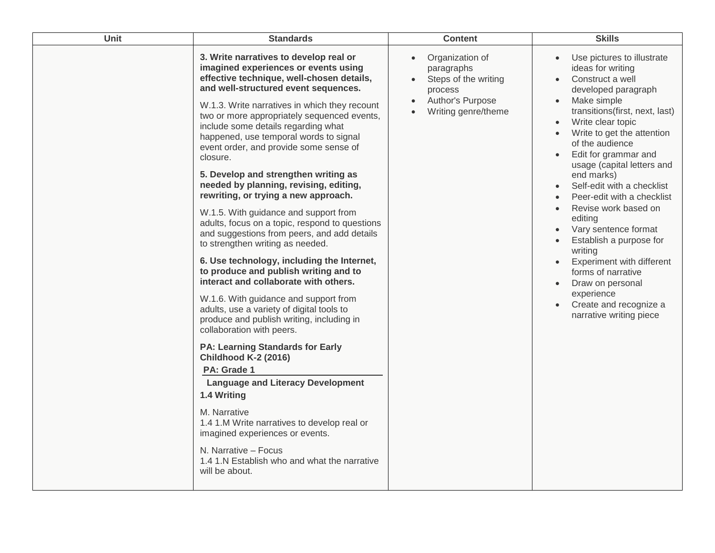| <b>Unit</b> | <b>Standards</b>                                                                                                                                                                                                                                                                                                                                                                                                                                                                                                                                                                                                                                                                                                                                                                                                                                                                                                                                                                                                                                                                                                                                                                                                                                                                                                                                                   | <b>Content</b>                                                                                              | <b>Skills</b>                                                                                                                                                                                                                                                                                                                                                                                                                                                                                                                                                                                                          |
|-------------|--------------------------------------------------------------------------------------------------------------------------------------------------------------------------------------------------------------------------------------------------------------------------------------------------------------------------------------------------------------------------------------------------------------------------------------------------------------------------------------------------------------------------------------------------------------------------------------------------------------------------------------------------------------------------------------------------------------------------------------------------------------------------------------------------------------------------------------------------------------------------------------------------------------------------------------------------------------------------------------------------------------------------------------------------------------------------------------------------------------------------------------------------------------------------------------------------------------------------------------------------------------------------------------------------------------------------------------------------------------------|-------------------------------------------------------------------------------------------------------------|------------------------------------------------------------------------------------------------------------------------------------------------------------------------------------------------------------------------------------------------------------------------------------------------------------------------------------------------------------------------------------------------------------------------------------------------------------------------------------------------------------------------------------------------------------------------------------------------------------------------|
|             | 3. Write narratives to develop real or<br>imagined experiences or events using<br>effective technique, well-chosen details,<br>and well-structured event sequences.<br>W.1.3. Write narratives in which they recount<br>two or more appropriately sequenced events,<br>include some details regarding what<br>happened, use temporal words to signal<br>event order, and provide some sense of<br>closure.<br>5. Develop and strengthen writing as<br>needed by planning, revising, editing,<br>rewriting, or trying a new approach.<br>W.1.5. With guidance and support from<br>adults, focus on a topic, respond to questions<br>and suggestions from peers, and add details<br>to strengthen writing as needed.<br>6. Use technology, including the Internet,<br>to produce and publish writing and to<br>interact and collaborate with others.<br>W.1.6. With guidance and support from<br>adults, use a variety of digital tools to<br>produce and publish writing, including in<br>collaboration with peers.<br><b>PA: Learning Standards for Early</b><br><b>Childhood K-2 (2016)</b><br>PA: Grade 1<br><b>Language and Literacy Development</b><br>1.4 Writing<br>M. Narrative<br>1.4 1.M Write narratives to develop real or<br>imagined experiences or events.<br>N. Narrative - Focus<br>1.4 1.N Establish who and what the narrative<br>will be about. | Organization of<br>paragraphs<br>Steps of the writing<br>process<br>Author's Purpose<br>Writing genre/theme | Use pictures to illustrate<br>ideas for writing<br>Construct a well<br>developed paragraph<br>Make simple<br>transitions(first, next, last)<br>Write clear topic<br>$\bullet$<br>Write to get the attention<br>of the audience<br>Edit for grammar and<br>usage (capital letters and<br>end marks)<br>Self-edit with a checklist<br>Peer-edit with a checklist<br>Revise work based on<br>editing<br>Vary sentence format<br>Establish a purpose for<br>writing<br>Experiment with different<br>forms of narrative<br>Draw on personal<br>$\bullet$<br>experience<br>Create and recognize a<br>narrative writing piece |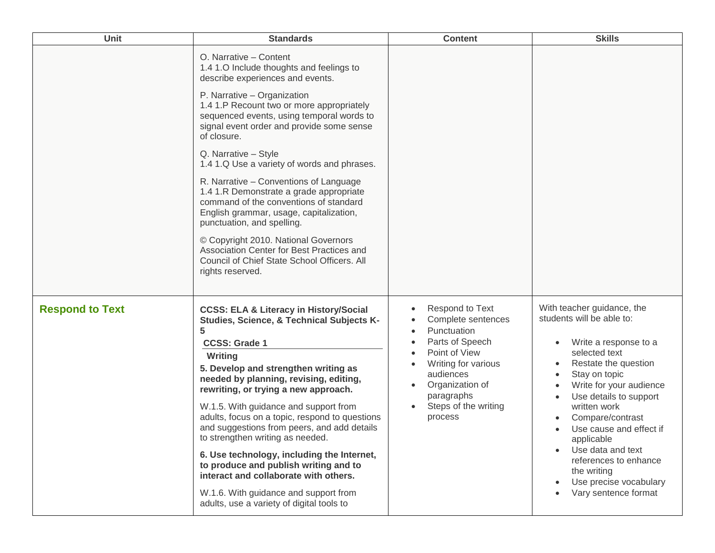| <b>Unit</b>            | <b>Standards</b>                                                                                                                                                                                                                                                                                                                                                                                                                                                                                                                                                                                                                                                     | <b>Content</b>                                                                                                                                                                                   | <b>Skills</b>                                                                                                                                                                                                                                                                                                                                                                                                                                                             |
|------------------------|----------------------------------------------------------------------------------------------------------------------------------------------------------------------------------------------------------------------------------------------------------------------------------------------------------------------------------------------------------------------------------------------------------------------------------------------------------------------------------------------------------------------------------------------------------------------------------------------------------------------------------------------------------------------|--------------------------------------------------------------------------------------------------------------------------------------------------------------------------------------------------|---------------------------------------------------------------------------------------------------------------------------------------------------------------------------------------------------------------------------------------------------------------------------------------------------------------------------------------------------------------------------------------------------------------------------------------------------------------------------|
|                        | O. Narrative - Content<br>1.4 1.0 Include thoughts and feelings to<br>describe experiences and events.                                                                                                                                                                                                                                                                                                                                                                                                                                                                                                                                                               |                                                                                                                                                                                                  |                                                                                                                                                                                                                                                                                                                                                                                                                                                                           |
|                        | P. Narrative - Organization<br>1.4 1.P Recount two or more appropriately<br>sequenced events, using temporal words to<br>signal event order and provide some sense<br>of closure.                                                                                                                                                                                                                                                                                                                                                                                                                                                                                    |                                                                                                                                                                                                  |                                                                                                                                                                                                                                                                                                                                                                                                                                                                           |
|                        | Q. Narrative - Style<br>1.4 1.Q Use a variety of words and phrases.                                                                                                                                                                                                                                                                                                                                                                                                                                                                                                                                                                                                  |                                                                                                                                                                                                  |                                                                                                                                                                                                                                                                                                                                                                                                                                                                           |
|                        | R. Narrative - Conventions of Language<br>1.4 1.R Demonstrate a grade appropriate<br>command of the conventions of standard<br>English grammar, usage, capitalization,<br>punctuation, and spelling.                                                                                                                                                                                                                                                                                                                                                                                                                                                                 |                                                                                                                                                                                                  |                                                                                                                                                                                                                                                                                                                                                                                                                                                                           |
|                        | © Copyright 2010. National Governors<br>Association Center for Best Practices and<br>Council of Chief State School Officers. All<br>rights reserved.                                                                                                                                                                                                                                                                                                                                                                                                                                                                                                                 |                                                                                                                                                                                                  |                                                                                                                                                                                                                                                                                                                                                                                                                                                                           |
| <b>Respond to Text</b> | <b>CCSS: ELA &amp; Literacy in History/Social</b><br>Studies, Science, & Technical Subjects K-<br>5<br><b>CCSS: Grade 1</b><br>Writing<br>5. Develop and strengthen writing as<br>needed by planning, revising, editing,<br>rewriting, or trying a new approach.<br>W.1.5. With guidance and support from<br>adults, focus on a topic, respond to questions<br>and suggestions from peers, and add details<br>to strengthen writing as needed.<br>6. Use technology, including the Internet,<br>to produce and publish writing and to<br>interact and collaborate with others.<br>W.1.6. With guidance and support from<br>adults, use a variety of digital tools to | Respond to Text<br>Complete sentences<br>Punctuation<br>Parts of Speech<br>Point of View<br>Writing for various<br>audiences<br>Organization of<br>paragraphs<br>Steps of the writing<br>process | With teacher guidance, the<br>students will be able to:<br>Write a response to a<br>$\bullet$<br>selected text<br>Restate the question<br>$\bullet$<br>Stay on topic<br>$\bullet$<br>Write for your audience<br>$\bullet$<br>Use details to support<br>written work<br>Compare/contrast<br>Use cause and effect if<br>applicable<br>Use data and text<br>$\bullet$<br>references to enhance<br>the writing<br>Use precise vocabulary<br>$\bullet$<br>Vary sentence format |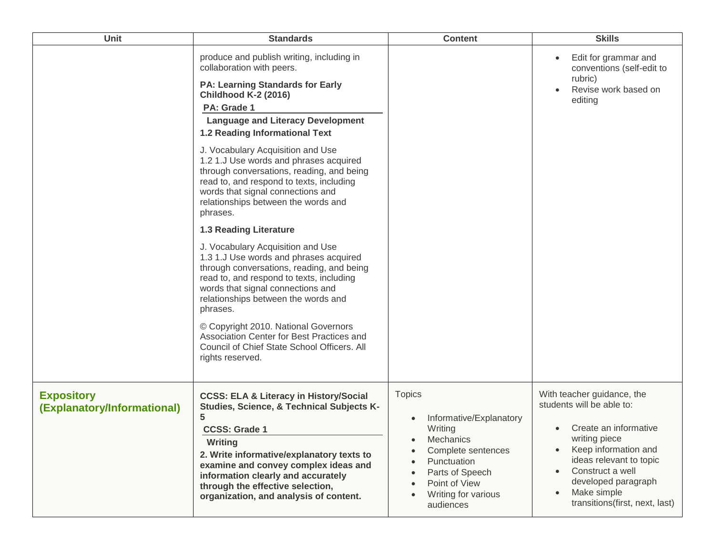| <b>Unit</b>                                      | <b>Standards</b>                                                                                                                                                                                                                                                                                                                                                                                                                                                                                                                                                                                                                                                                                                                                                                                                                                                                                                                                                              | <b>Content</b>                                                                                                                                                                             | <b>Skills</b>                                                                                                                                                                                                                                                                                        |
|--------------------------------------------------|-------------------------------------------------------------------------------------------------------------------------------------------------------------------------------------------------------------------------------------------------------------------------------------------------------------------------------------------------------------------------------------------------------------------------------------------------------------------------------------------------------------------------------------------------------------------------------------------------------------------------------------------------------------------------------------------------------------------------------------------------------------------------------------------------------------------------------------------------------------------------------------------------------------------------------------------------------------------------------|--------------------------------------------------------------------------------------------------------------------------------------------------------------------------------------------|------------------------------------------------------------------------------------------------------------------------------------------------------------------------------------------------------------------------------------------------------------------------------------------------------|
|                                                  | produce and publish writing, including in<br>collaboration with peers.<br><b>PA: Learning Standards for Early</b><br><b>Childhood K-2 (2016)</b><br>PA: Grade 1<br><b>Language and Literacy Development</b><br><b>1.2 Reading Informational Text</b><br>J. Vocabulary Acquisition and Use<br>1.2 1.J Use words and phrases acquired<br>through conversations, reading, and being<br>read to, and respond to texts, including<br>words that signal connections and<br>relationships between the words and<br>phrases.<br><b>1.3 Reading Literature</b><br>J. Vocabulary Acquisition and Use<br>1.3 1.J Use words and phrases acquired<br>through conversations, reading, and being<br>read to, and respond to texts, including<br>words that signal connections and<br>relationships between the words and<br>phrases.<br>© Copyright 2010. National Governors<br>Association Center for Best Practices and<br>Council of Chief State School Officers. All<br>rights reserved. |                                                                                                                                                                                            | Edit for grammar and<br>$\bullet$<br>conventions (self-edit to<br>rubric)<br>Revise work based on<br>editing                                                                                                                                                                                         |
| <b>Expository</b><br>(Explanatory/Informational) | <b>CCSS: ELA &amp; Literacy in History/Social</b><br>Studies, Science, & Technical Subjects K-<br>5.<br><b>CCSS: Grade 1</b><br>Writing<br>2. Write informative/explanatory texts to<br>examine and convey complex ideas and<br>information clearly and accurately<br>through the effective selection,<br>organization, and analysis of content.                                                                                                                                                                                                                                                                                                                                                                                                                                                                                                                                                                                                                              | <b>Topics</b><br>Informative/Explanatory<br>Writing<br>Mechanics<br>$\bullet$<br>Complete sentences<br>Punctuation<br>Parts of Speech<br>Point of View<br>Writing for various<br>audiences | With teacher guidance, the<br>students will be able to:<br>Create an informative<br>$\bullet$<br>writing piece<br>Keep information and<br>$\bullet$<br>ideas relevant to topic<br>Construct a well<br>$\bullet$<br>developed paragraph<br>Make simple<br>$\bullet$<br>transitions(first, next, last) |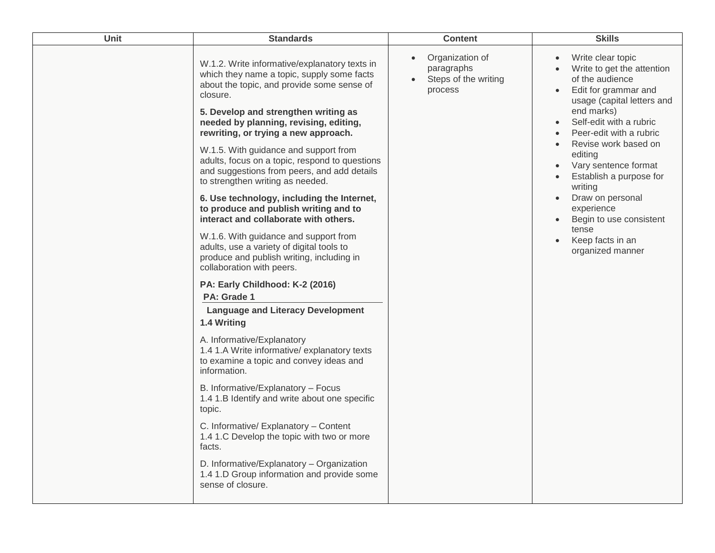| Unit | <b>Standards</b>                                                                                                                                                                              | <b>Content</b>                                                                | <b>Skills</b>                                                                                                                          |
|------|-----------------------------------------------------------------------------------------------------------------------------------------------------------------------------------------------|-------------------------------------------------------------------------------|----------------------------------------------------------------------------------------------------------------------------------------|
|      | W.1.2. Write informative/explanatory texts in<br>which they name a topic, supply some facts<br>about the topic, and provide some sense of<br>closure.<br>5. Develop and strengthen writing as | Organization of<br>paragraphs<br>Steps of the writing<br>$\bullet$<br>process | Write clear topic<br>Write to get the attention<br>of the audience<br>Edit for grammar and<br>usage (capital letters and<br>end marks) |
|      | needed by planning, revising, editing,<br>rewriting, or trying a new approach.                                                                                                                |                                                                               | Self-edit with a rubric<br>Peer-edit with a rubric                                                                                     |
|      | W.1.5. With guidance and support from<br>adults, focus on a topic, respond to questions<br>and suggestions from peers, and add details<br>to strengthen writing as needed.                    |                                                                               | Revise work based on<br>editing<br>Vary sentence format<br>Establish a purpose for<br>writing                                          |
|      | 6. Use technology, including the Internet,<br>to produce and publish writing and to<br>interact and collaborate with others.                                                                  |                                                                               | Draw on personal<br>experience<br>Begin to use consistent                                                                              |
|      | W.1.6. With guidance and support from<br>adults, use a variety of digital tools to<br>produce and publish writing, including in<br>collaboration with peers.                                  |                                                                               | tense<br>Keep facts in an<br>organized manner                                                                                          |
|      | PA: Early Childhood: K-2 (2016)<br>PA: Grade 1                                                                                                                                                |                                                                               |                                                                                                                                        |
|      | <b>Language and Literacy Development</b><br>1.4 Writing                                                                                                                                       |                                                                               |                                                                                                                                        |
|      | A. Informative/Explanatory<br>1.4 1.A Write informative/ explanatory texts<br>to examine a topic and convey ideas and<br>information.                                                         |                                                                               |                                                                                                                                        |
|      | B. Informative/Explanatory - Focus<br>1.4 1.B Identify and write about one specific<br>topic.                                                                                                 |                                                                               |                                                                                                                                        |
|      | C. Informative/ Explanatory - Content<br>1.4 1.C Develop the topic with two or more<br>facts.                                                                                                 |                                                                               |                                                                                                                                        |
|      | D. Informative/Explanatory - Organization<br>1.4 1.D Group information and provide some<br>sense of closure.                                                                                  |                                                                               |                                                                                                                                        |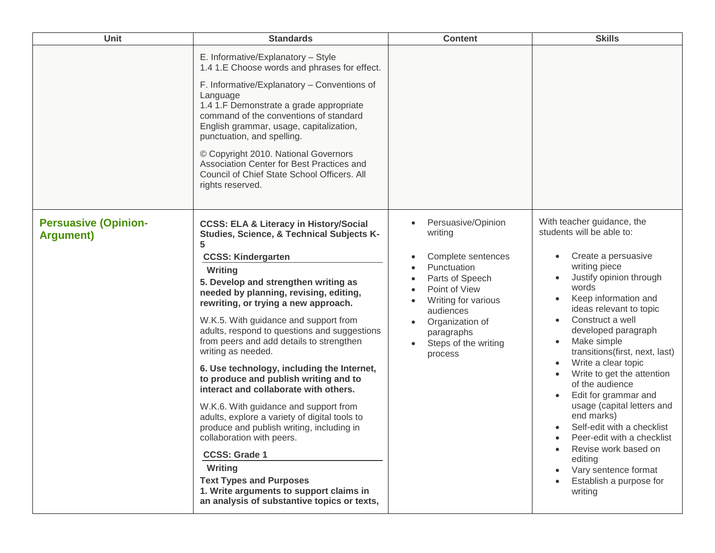| <b>Unit</b>                                      | <b>Standards</b>                                                                                                                                                                                                                                                                                                                                                                                                                                                                                                                                                                                                                                                                                                                                                                                                                                                                                    | <b>Content</b>                                                                                                                                                                                                              | <b>Skills</b>                                                                                                                                                                                                                                                                                                                                                                                                                                                                                                                                                                                            |
|--------------------------------------------------|-----------------------------------------------------------------------------------------------------------------------------------------------------------------------------------------------------------------------------------------------------------------------------------------------------------------------------------------------------------------------------------------------------------------------------------------------------------------------------------------------------------------------------------------------------------------------------------------------------------------------------------------------------------------------------------------------------------------------------------------------------------------------------------------------------------------------------------------------------------------------------------------------------|-----------------------------------------------------------------------------------------------------------------------------------------------------------------------------------------------------------------------------|----------------------------------------------------------------------------------------------------------------------------------------------------------------------------------------------------------------------------------------------------------------------------------------------------------------------------------------------------------------------------------------------------------------------------------------------------------------------------------------------------------------------------------------------------------------------------------------------------------|
|                                                  | E. Informative/Explanatory - Style<br>1.4 1.E Choose words and phrases for effect.<br>F. Informative/Explanatory - Conventions of<br>Language<br>1.4 1.F Demonstrate a grade appropriate<br>command of the conventions of standard<br>English grammar, usage, capitalization,<br>punctuation, and spelling.<br>© Copyright 2010. National Governors<br>Association Center for Best Practices and<br>Council of Chief State School Officers. All<br>rights reserved.                                                                                                                                                                                                                                                                                                                                                                                                                                 |                                                                                                                                                                                                                             |                                                                                                                                                                                                                                                                                                                                                                                                                                                                                                                                                                                                          |
| <b>Persuasive (Opinion-</b><br><b>Argument</b> ) | <b>CCSS: ELA &amp; Literacy in History/Social</b><br>Studies, Science, & Technical Subjects K-<br>5<br><b>CCSS: Kindergarten</b><br>Writing<br>5. Develop and strengthen writing as<br>needed by planning, revising, editing,<br>rewriting, or trying a new approach.<br>W.K.5. With guidance and support from<br>adults, respond to questions and suggestions<br>from peers and add details to strengthen<br>writing as needed.<br>6. Use technology, including the Internet,<br>to produce and publish writing and to<br>interact and collaborate with others.<br>W.K.6. With guidance and support from<br>adults, explore a variety of digital tools to<br>produce and publish writing, including in<br>collaboration with peers.<br><b>CCSS: Grade 1</b><br>Writing<br><b>Text Types and Purposes</b><br>1. Write arguments to support claims in<br>an analysis of substantive topics or texts, | Persuasive/Opinion<br>writing<br>Complete sentences<br>Punctuation<br>Parts of Speech<br>Point of View<br>Writing for various<br>audiences<br>Organization of<br>paragraphs<br>Steps of the writing<br>$\bullet$<br>process | With teacher guidance, the<br>students will be able to:<br>Create a persuasive<br>$\bullet$<br>writing piece<br>Justify opinion through<br>words<br>Keep information and<br>ideas relevant to topic<br>Construct a well<br>developed paragraph<br>Make simple<br>transitions(first, next, last)<br>Write a clear topic<br>Write to get the attention<br>of the audience<br>Edit for grammar and<br>usage (capital letters and<br>end marks)<br>Self-edit with a checklist<br>Peer-edit with a checklist<br>Revise work based on<br>editing<br>Vary sentence format<br>Establish a purpose for<br>writing |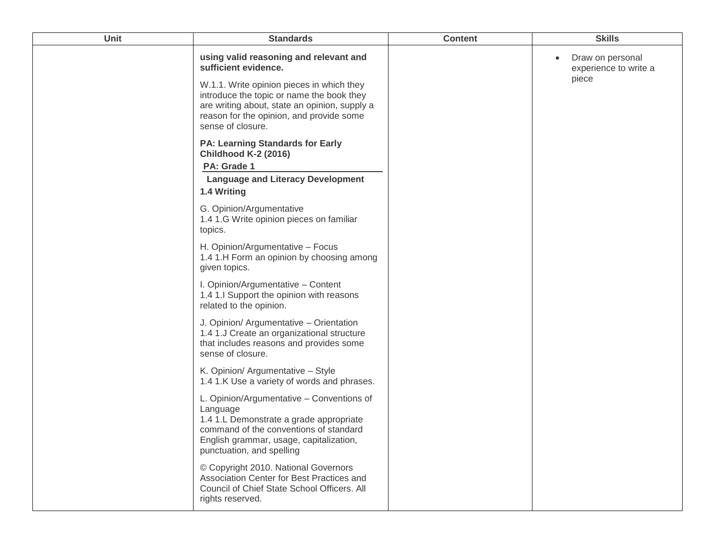| Unit | <b>Standards</b>                                                                                                                                                                                                                                                           | <b>Content</b> | <b>Skills</b>                                                   |
|------|----------------------------------------------------------------------------------------------------------------------------------------------------------------------------------------------------------------------------------------------------------------------------|----------------|-----------------------------------------------------------------|
|      | using valid reasoning and relevant and<br>sufficient evidence.<br>W.1.1. Write opinion pieces in which they<br>introduce the topic or name the book they<br>are writing about, state an opinion, supply a<br>reason for the opinion, and provide some<br>sense of closure. |                | Draw on personal<br>$\bullet$<br>experience to write a<br>piece |
|      | <b>PA: Learning Standards for Early</b><br><b>Childhood K-2 (2016)</b><br>PA: Grade 1<br><b>Language and Literacy Development</b><br>1.4 Writing                                                                                                                           |                |                                                                 |
|      | G. Opinion/Argumentative<br>1.4 1.G Write opinion pieces on familiar<br>topics.                                                                                                                                                                                            |                |                                                                 |
|      | H. Opinion/Argumentative - Focus<br>1.4 1.H Form an opinion by choosing among<br>given topics.                                                                                                                                                                             |                |                                                                 |
|      | I. Opinion/Argumentative - Content<br>1.4 1.I Support the opinion with reasons<br>related to the opinion.                                                                                                                                                                  |                |                                                                 |
|      | J. Opinion/ Argumentative - Orientation<br>1.4 1.J Create an organizational structure<br>that includes reasons and provides some<br>sense of closure.                                                                                                                      |                |                                                                 |
|      | K. Opinion/ Argumentative - Style<br>1.4 1.K Use a variety of words and phrases.                                                                                                                                                                                           |                |                                                                 |
|      | L. Opinion/Argumentative - Conventions of<br>Language<br>1.4 1.L Demonstrate a grade appropriate<br>command of the conventions of standard<br>English grammar, usage, capitalization,<br>punctuation, and spelling                                                         |                |                                                                 |
|      | © Copyright 2010. National Governors<br>Association Center for Best Practices and<br>Council of Chief State School Officers. All<br>rights reserved.                                                                                                                       |                |                                                                 |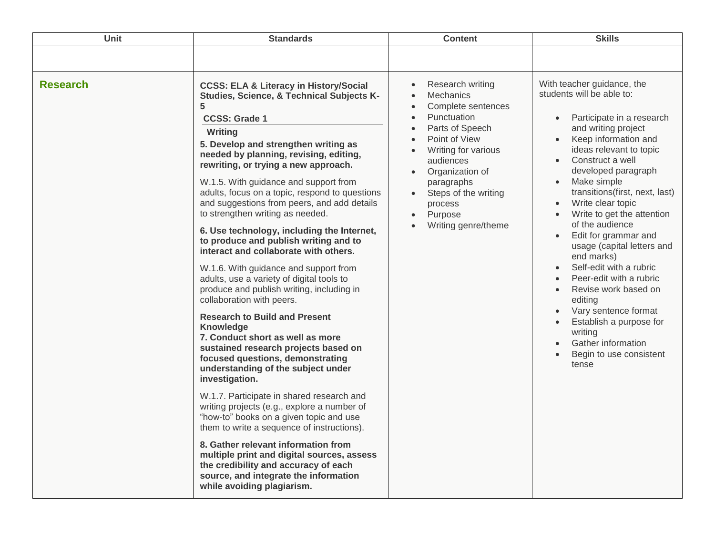| Unit            | <b>Standards</b>                                                                                                                                                                                                                                                                                                                                                                                                                                                                                                                                                                                                                                                                                                                                                                                                                                                                                                                                                                                                                                                                                                                                                                                                                                                                                                                                                     | <b>Content</b>                                                                                                                                                                                                                                                       | <b>Skills</b>                                                                                                                                                                                                                                                                                                                                                                                                                                                                                                                                                                                                                                                                                                                                                  |
|-----------------|----------------------------------------------------------------------------------------------------------------------------------------------------------------------------------------------------------------------------------------------------------------------------------------------------------------------------------------------------------------------------------------------------------------------------------------------------------------------------------------------------------------------------------------------------------------------------------------------------------------------------------------------------------------------------------------------------------------------------------------------------------------------------------------------------------------------------------------------------------------------------------------------------------------------------------------------------------------------------------------------------------------------------------------------------------------------------------------------------------------------------------------------------------------------------------------------------------------------------------------------------------------------------------------------------------------------------------------------------------------------|----------------------------------------------------------------------------------------------------------------------------------------------------------------------------------------------------------------------------------------------------------------------|----------------------------------------------------------------------------------------------------------------------------------------------------------------------------------------------------------------------------------------------------------------------------------------------------------------------------------------------------------------------------------------------------------------------------------------------------------------------------------------------------------------------------------------------------------------------------------------------------------------------------------------------------------------------------------------------------------------------------------------------------------------|
|                 |                                                                                                                                                                                                                                                                                                                                                                                                                                                                                                                                                                                                                                                                                                                                                                                                                                                                                                                                                                                                                                                                                                                                                                                                                                                                                                                                                                      |                                                                                                                                                                                                                                                                      |                                                                                                                                                                                                                                                                                                                                                                                                                                                                                                                                                                                                                                                                                                                                                                |
| <b>Research</b> | <b>CCSS: ELA &amp; Literacy in History/Social</b><br>Studies, Science, & Technical Subjects K-<br>5<br><b>CCSS: Grade 1</b><br>Writing<br>5. Develop and strengthen writing as<br>needed by planning, revising, editing,<br>rewriting, or trying a new approach.<br>W.1.5. With guidance and support from<br>adults, focus on a topic, respond to questions<br>and suggestions from peers, and add details<br>to strengthen writing as needed.<br>6. Use technology, including the Internet,<br>to produce and publish writing and to<br>interact and collaborate with others.<br>W.1.6. With guidance and support from<br>adults, use a variety of digital tools to<br>produce and publish writing, including in<br>collaboration with peers.<br><b>Research to Build and Present</b><br>Knowledge<br>7. Conduct short as well as more<br>sustained research projects based on<br>focused questions, demonstrating<br>understanding of the subject under<br>investigation.<br>W.1.7. Participate in shared research and<br>writing projects (e.g., explore a number of<br>"how-to" books on a given topic and use<br>them to write a sequence of instructions).<br>8. Gather relevant information from<br>multiple print and digital sources, assess<br>the credibility and accuracy of each<br>source, and integrate the information<br>while avoiding plagiarism. | Research writing<br><b>Mechanics</b><br>Complete sentences<br>Punctuation<br>Parts of Speech<br>Point of View<br>Writing for various<br>audiences<br>Organization of<br>paragraphs<br>Steps of the writing<br>process<br>Purpose<br>$\bullet$<br>Writing genre/theme | With teacher guidance, the<br>students will be able to:<br>Participate in a research<br>$\bullet$<br>and writing project<br>Keep information and<br>$\bullet$<br>ideas relevant to topic<br>Construct a well<br>$\bullet$<br>developed paragraph<br>Make simple<br>$\bullet$<br>transitions(first, next, last)<br>Write clear topic<br>Write to get the attention<br>$\bullet$<br>of the audience<br>Edit for grammar and<br>$\bullet$<br>usage (capital letters and<br>end marks)<br>Self-edit with a rubric<br>$\bullet$<br>Peer-edit with a rubric<br>$\bullet$<br>Revise work based on<br>$\bullet$<br>editing<br>Vary sentence format<br>$\bullet$<br>Establish a purpose for<br>writing<br><b>Gather information</b><br>Begin to use consistent<br>tense |